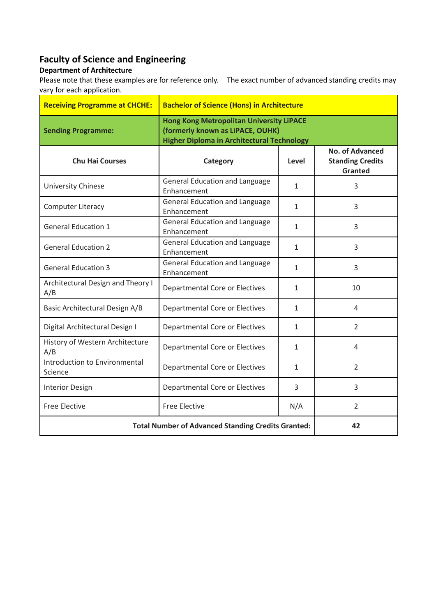## **Faculty of Science and Engineering**

## **Department of Architecture**

Please note that these examples are for reference only. The exact number of advanced standing credits may vary for each application.

| <b>Receiving Programme at CHCHE:</b>                      | <b>Bachelor of Science (Hons) in Architecture</b>                                                                                        |              |                                                                     |
|-----------------------------------------------------------|------------------------------------------------------------------------------------------------------------------------------------------|--------------|---------------------------------------------------------------------|
| <b>Sending Programme:</b>                                 | <b>Hong Kong Metropolitan University LiPACE</b><br>(formerly known as LiPACE, OUHK)<br><b>Higher Diploma in Architectural Technology</b> |              |                                                                     |
| <b>Chu Hai Courses</b>                                    | Category                                                                                                                                 | Level        | <b>No. of Advanced</b><br><b>Standing Credits</b><br><b>Granted</b> |
| University Chinese                                        | <b>General Education and Language</b><br>Enhancement                                                                                     | $\mathbf{1}$ | 3                                                                   |
| Computer Literacy                                         | <b>General Education and Language</b><br>Enhancement                                                                                     | 1            | 3                                                                   |
| <b>General Education 1</b>                                | <b>General Education and Language</b><br>Enhancement                                                                                     | 1            | 3                                                                   |
| <b>General Education 2</b>                                | <b>General Education and Language</b><br>Enhancement                                                                                     | 1            | 3                                                                   |
| <b>General Education 3</b>                                | <b>General Education and Language</b><br>Enhancement                                                                                     | 1            | 3                                                                   |
| Architectural Design and Theory I<br>A/B                  | Departmental Core or Electives                                                                                                           | 1            | 10                                                                  |
| Basic Architectural Design A/B                            | <b>Departmental Core or Electives</b>                                                                                                    | 1            | 4                                                                   |
| Digital Architectural Design I                            | <b>Departmental Core or Electives</b>                                                                                                    | $\mathbf{1}$ | $\overline{2}$                                                      |
| History of Western Architecture<br>A/B                    | Departmental Core or Electives                                                                                                           | 1            | 4                                                                   |
| Introduction to Environmental<br>Science                  | Departmental Core or Electives                                                                                                           | 1            | $\overline{2}$                                                      |
| <b>Interior Design</b>                                    | Departmental Core or Electives                                                                                                           | 3            | 3                                                                   |
| <b>Free Elective</b>                                      | <b>Free Elective</b>                                                                                                                     | N/A          | $\overline{2}$                                                      |
| <b>Total Number of Advanced Standing Credits Granted:</b> |                                                                                                                                          |              | 42                                                                  |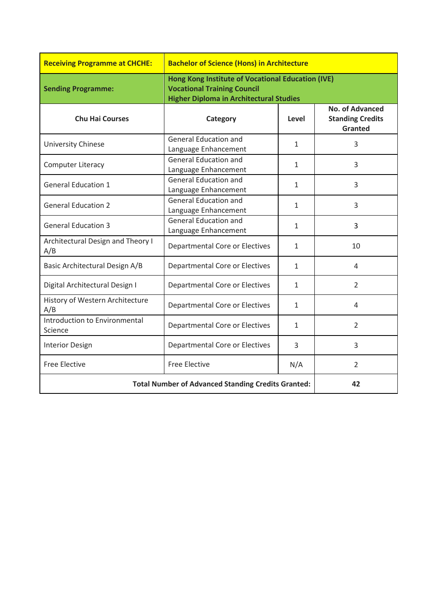| <b>Receiving Programme at CHCHE:</b>                      | <b>Bachelor of Science (Hons) in Architecture</b>                                                                                         |              |                                                                     |
|-----------------------------------------------------------|-------------------------------------------------------------------------------------------------------------------------------------------|--------------|---------------------------------------------------------------------|
| <b>Sending Programme:</b>                                 | Hong Kong Institute of Vocational Education (IVE)<br><b>Vocational Training Council</b><br><b>Higher Diploma in Architectural Studies</b> |              |                                                                     |
| <b>Chu Hai Courses</b>                                    | Category                                                                                                                                  | Level        | <b>No. of Advanced</b><br><b>Standing Credits</b><br><b>Granted</b> |
| University Chinese                                        | <b>General Education and</b><br>Language Enhancement                                                                                      | $\mathbf{1}$ | 3                                                                   |
| Computer Literacy                                         | <b>General Education and</b><br>Language Enhancement                                                                                      | $\mathbf{1}$ | 3                                                                   |
| <b>General Education 1</b>                                | <b>General Education and</b><br>Language Enhancement                                                                                      | $\mathbf{1}$ | 3                                                                   |
| <b>General Education 2</b>                                | <b>General Education and</b><br>Language Enhancement                                                                                      | 1            | 3                                                                   |
| <b>General Education 3</b>                                | <b>General Education and</b><br>Language Enhancement                                                                                      | $\mathbf{1}$ | 3                                                                   |
| Architectural Design and Theory I<br>A/B                  | Departmental Core or Electives                                                                                                            | $\mathbf{1}$ | 10                                                                  |
| Basic Architectural Design A/B                            | <b>Departmental Core or Electives</b>                                                                                                     | 1            | 4                                                                   |
| Digital Architectural Design I                            | <b>Departmental Core or Electives</b>                                                                                                     | $\mathbf{1}$ | $\overline{2}$                                                      |
| History of Western Architecture<br>A/B                    | Departmental Core or Electives                                                                                                            | 1            | 4                                                                   |
| Introduction to Environmental<br>Science                  | <b>Departmental Core or Electives</b>                                                                                                     | $\mathbf{1}$ | $\overline{2}$                                                      |
| <b>Interior Design</b>                                    | Departmental Core or Electives                                                                                                            | 3            | 3                                                                   |
| <b>Free Elective</b>                                      | <b>Free Elective</b>                                                                                                                      | N/A          | $\overline{2}$                                                      |
| <b>Total Number of Advanced Standing Credits Granted:</b> |                                                                                                                                           | 42           |                                                                     |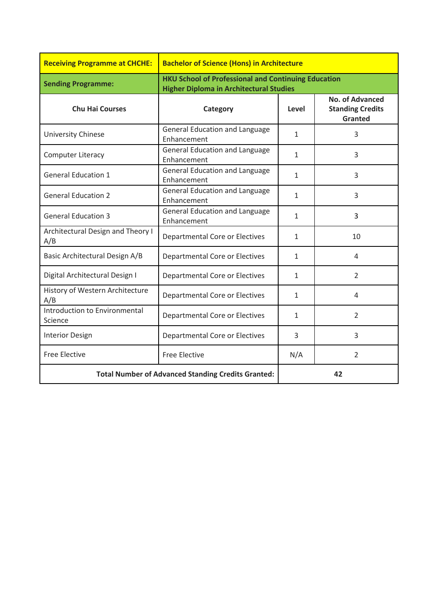| <b>Receiving Programme at CHCHE:</b>                      | <b>Bachelor of Science (Hons) in Architecture</b>                                                            |              |                                                                     |
|-----------------------------------------------------------|--------------------------------------------------------------------------------------------------------------|--------------|---------------------------------------------------------------------|
| <b>Sending Programme:</b>                                 | <b>HKU School of Professional and Continuing Education</b><br><b>Higher Diploma in Architectural Studies</b> |              |                                                                     |
| <b>Chu Hai Courses</b>                                    | Category                                                                                                     | Level        | <b>No. of Advanced</b><br><b>Standing Credits</b><br><b>Granted</b> |
| University Chinese                                        | <b>General Education and Language</b><br>Enhancement                                                         | $\mathbf{1}$ | 3                                                                   |
| Computer Literacy                                         | <b>General Education and Language</b><br>Enhancement                                                         | $\mathbf{1}$ | 3                                                                   |
| <b>General Education 1</b>                                | <b>General Education and Language</b><br>Enhancement                                                         | $\mathbf{1}$ | 3                                                                   |
| <b>General Education 2</b>                                | <b>General Education and Language</b><br>Enhancement                                                         | $\mathbf{1}$ | 3                                                                   |
| <b>General Education 3</b>                                | <b>General Education and Language</b><br>Enhancement                                                         | 1            | 3                                                                   |
| Architectural Design and Theory I<br>A/B                  | <b>Departmental Core or Electives</b>                                                                        | $\mathbf{1}$ | 10                                                                  |
| Basic Architectural Design A/B                            | <b>Departmental Core or Electives</b>                                                                        | $\mathbf{1}$ | 4                                                                   |
| Digital Architectural Design I                            | <b>Departmental Core or Electives</b>                                                                        | 1            | $\overline{2}$                                                      |
| History of Western Architecture<br>A/B                    | Departmental Core or Electives                                                                               | $\mathbf{1}$ | 4                                                                   |
| Introduction to Environmental<br>Science                  | <b>Departmental Core or Electives</b>                                                                        | $\mathbf{1}$ | 2                                                                   |
| <b>Interior Design</b>                                    | <b>Departmental Core or Electives</b>                                                                        | 3            | 3                                                                   |
| <b>Free Elective</b>                                      | <b>Free Elective</b>                                                                                         | N/A          | $\overline{2}$                                                      |
| <b>Total Number of Advanced Standing Credits Granted:</b> |                                                                                                              |              | 42                                                                  |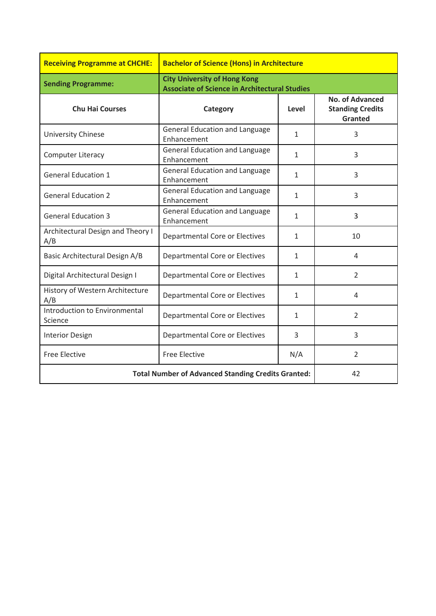| <b>Receiving Programme at CHCHE:</b>                      | <b>Bachelor of Science (Hons) in Architecture</b>                                           |              |                                                              |
|-----------------------------------------------------------|---------------------------------------------------------------------------------------------|--------------|--------------------------------------------------------------|
| <b>Sending Programme:</b>                                 | <b>City University of Hong Kong</b><br><b>Associate of Science in Architectural Studies</b> |              |                                                              |
| <b>Chu Hai Courses</b>                                    | Category                                                                                    | Level        | <b>No. of Advanced</b><br><b>Standing Credits</b><br>Granted |
| University Chinese                                        | <b>General Education and Language</b><br>Enhancement                                        | $\mathbf{1}$ | 3                                                            |
| <b>Computer Literacy</b>                                  | <b>General Education and Language</b><br>Enhancement                                        | $\mathbf{1}$ | 3                                                            |
| <b>General Education 1</b>                                | <b>General Education and Language</b><br>Enhancement                                        | 1            | 3                                                            |
| <b>General Education 2</b>                                | <b>General Education and Language</b><br>Enhancement                                        | $\mathbf{1}$ | 3                                                            |
| <b>General Education 3</b>                                | <b>General Education and Language</b><br>Enhancement                                        | $\mathbf{1}$ | 3                                                            |
| Architectural Design and Theory I<br>A/B                  | <b>Departmental Core or Electives</b>                                                       | $\mathbf{1}$ | 10                                                           |
| Basic Architectural Design A/B                            | <b>Departmental Core or Electives</b>                                                       | $\mathbf{1}$ | 4                                                            |
| Digital Architectural Design I                            | <b>Departmental Core or Electives</b>                                                       | $\mathbf{1}$ | $\overline{2}$                                               |
| History of Western Architecture<br>A/B                    | Departmental Core or Electives                                                              | 1            | 4                                                            |
| Introduction to Environmental<br>Science                  | Departmental Core or Electives                                                              | $\mathbf{1}$ | $\overline{2}$                                               |
| <b>Interior Design</b>                                    | <b>Departmental Core or Electives</b>                                                       | 3            | 3                                                            |
| <b>Free Elective</b>                                      | <b>Free Elective</b>                                                                        | N/A          | $\overline{2}$                                               |
| <b>Total Number of Advanced Standing Credits Granted:</b> |                                                                                             |              | 42                                                           |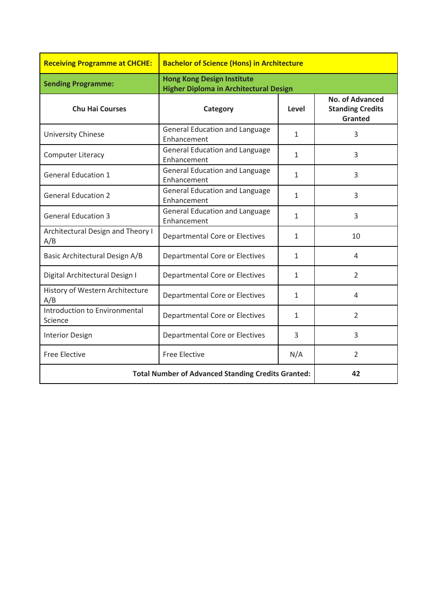| <b>Receiving Programme at CHCHE:</b>                      | <b>Bachelor of Science (Hons) in Architecture</b>                                  |              |                                                              |
|-----------------------------------------------------------|------------------------------------------------------------------------------------|--------------|--------------------------------------------------------------|
| <b>Sending Programme:</b>                                 | <b>Hong Kong Design Institute</b><br><b>Higher Diploma in Architectural Design</b> |              |                                                              |
| <b>Chu Hai Courses</b>                                    | Category                                                                           | Level        | <b>No. of Advanced</b><br><b>Standing Credits</b><br>Granted |
| University Chinese                                        | <b>General Education and Language</b><br>Enhancement                               | $\mathbf{1}$ | 3                                                            |
| <b>Computer Literacy</b>                                  | <b>General Education and Language</b><br>Enhancement                               | $\mathbf{1}$ | 3                                                            |
| <b>General Education 1</b>                                | <b>General Education and Language</b><br>Enhancement                               | 1            | 3                                                            |
| <b>General Education 2</b>                                | <b>General Education and Language</b><br>Enhancement                               | $\mathbf{1}$ | 3                                                            |
| <b>General Education 3</b>                                | <b>General Education and Language</b><br>Enhancement                               | $\mathbf{1}$ | 3                                                            |
| Architectural Design and Theory I<br>A/B                  | Departmental Core or Electives                                                     | $\mathbf{1}$ | 10                                                           |
| Basic Architectural Design A/B                            | <b>Departmental Core or Electives</b>                                              | $\mathbf{1}$ | 4                                                            |
| Digital Architectural Design I                            | <b>Departmental Core or Electives</b>                                              | $\mathbf{1}$ | $\overline{2}$                                               |
| History of Western Architecture<br>A/B                    | <b>Departmental Core or Electives</b>                                              | $\mathbf{1}$ | 4                                                            |
| Introduction to Environmental<br>Science                  | <b>Departmental Core or Electives</b>                                              | $\mathbf{1}$ | $\overline{2}$                                               |
| <b>Interior Design</b>                                    | <b>Departmental Core or Electives</b>                                              | 3            | 3                                                            |
| <b>Free Elective</b>                                      | <b>Free Elective</b>                                                               | N/A          | $\overline{2}$                                               |
| <b>Total Number of Advanced Standing Credits Granted:</b> |                                                                                    | 42           |                                                              |